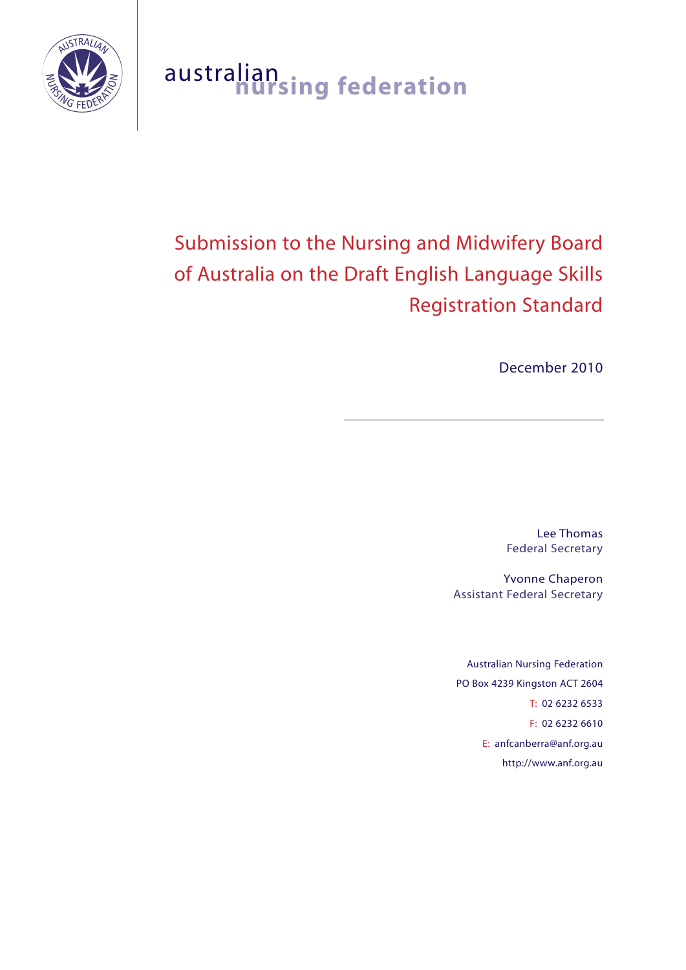

# australian **nursing federation**

# Submission to the Nursing and Midwifery Board of Australia on the Draft English Language Skills Registration Standard

December 2010

Lee Thomas Federal Secretary

Yvonne Chaperon Assistant Federal Secretary

Australian Nursing Federation PO Box 4239 Kingston ACT 2604 T: 02 6232 6533 F: 02 6232 6610 E: anfcanberra@anf.org.au http://www.anf.org.au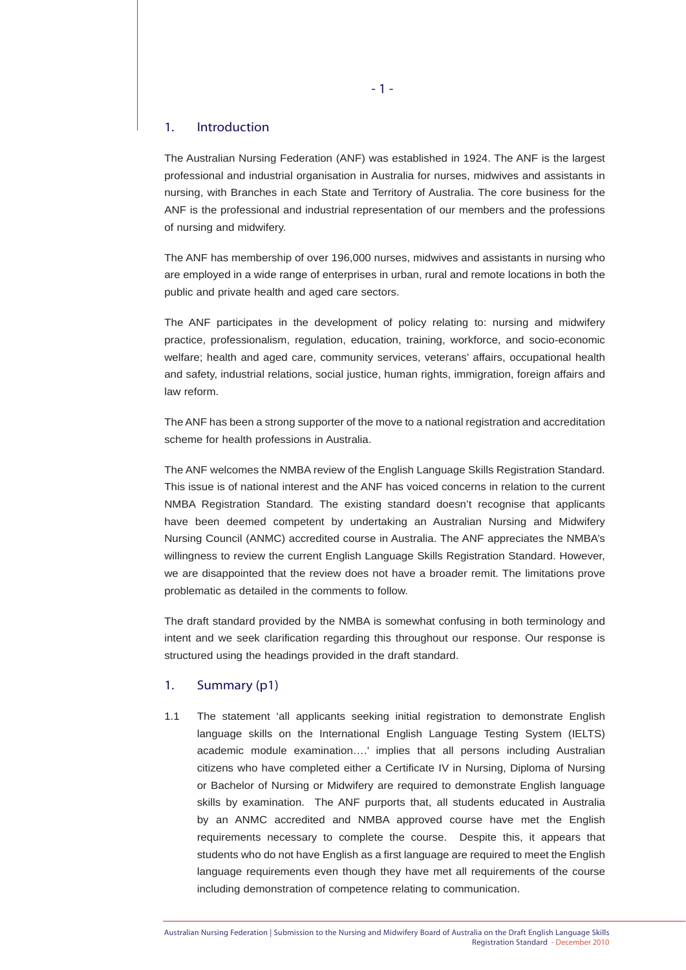#### 1. Introduction

The Australian Nursing Federation (ANF) was established in 1924. The ANF is the largest professional and industrial organisation in Australia for nurses, midwives and assistants in nursing, with Branches in each State and Territory of Australia. The core business for the ANF is the professional and industrial representation of our members and the professions of nursing and midwifery.

The ANF has membership of over 196,000 nurses, midwives and assistants in nursing who are employed in a wide range of enterprises in urban, rural and remote locations in both the public and private health and aged care sectors.

The ANF participates in the development of policy relating to: nursing and midwifery practice, professionalism, regulation, education, training, workforce, and socio-economic welfare; health and aged care, community services, veterans' affairs, occupational health and safety, industrial relations, social justice, human rights, immigration, foreign affairs and law reform.

The ANF has been a strong supporter of the move to a national registration and accreditation scheme for health professions in Australia.

The ANF welcomes the NMBA review of the English Language Skills Registration Standard. This issue is of national interest and the ANF has voiced concerns in relation to the current NMBA Registration Standard. The existing standard doesn't recognise that applicants have been deemed competent by undertaking an Australian Nursing and Midwifery Nursing Council (ANMC) accredited course in Australia. The ANF appreciates the NMBA's willingness to review the current English Language Skills Registration Standard. However, we are disappointed that the review does not have a broader remit. The limitations prove problematic as detailed in the comments to follow.

The draft standard provided by the NMBA is somewhat confusing in both terminology and intent and we seek clarification regarding this throughout our response. Our response is structured using the headings provided in the draft standard.

# 1. Summary (p1)

1.1 The statement 'all applicants seeking initial registration to demonstrate English language skills on the International English Language Testing System (IELTS) academic module examination….' implies that all persons including Australian citizens who have completed either a Certificate IV in Nursing, Diploma of Nursing or Bachelor of Nursing or Midwifery are required to demonstrate English language skills by examination. The ANF purports that, all students educated in Australia by an ANMC accredited and NMBA approved course have met the English requirements necessary to complete the course. Despite this, it appears that students who do not have English as a first language are required to meet the English language requirements even though they have met all requirements of the course including demonstration of competence relating to communication.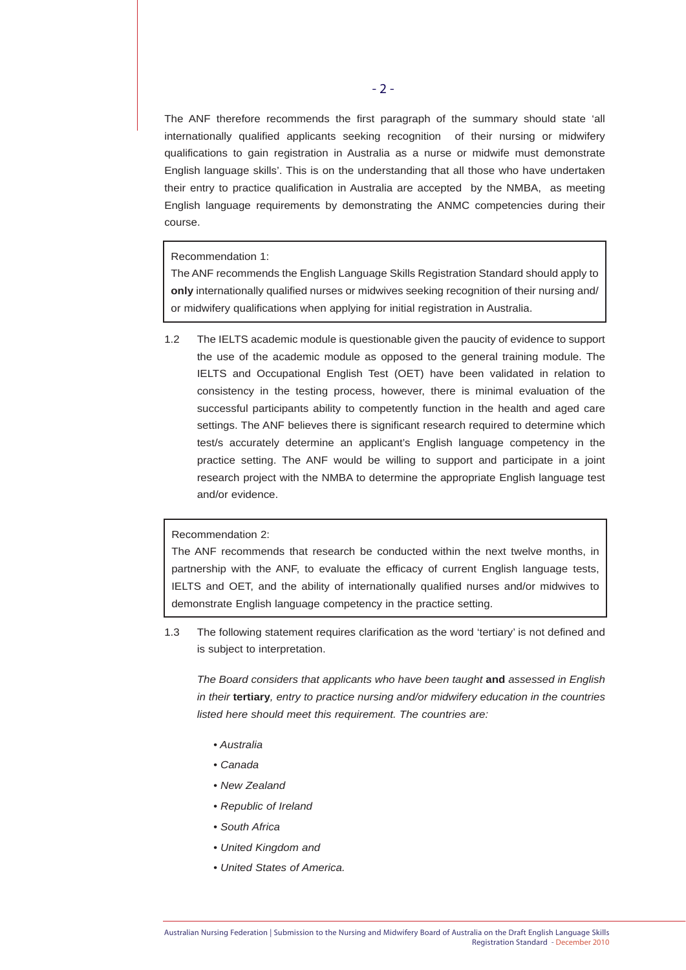The ANF therefore recommends the first paragraph of the summary should state 'all internationally qualified applicants seeking recognition of their nursing or midwifery qualifications to gain registration in Australia as a nurse or midwife must demonstrate English language skills'. This is on the understanding that all those who have undertaken their entry to practice qualification in Australia are accepted by the NMBA, as meeting English language requirements by demonstrating the ANMC competencies during their course.

Recommendation 1:

The ANF recommends the English Language Skills Registration Standard should apply to **only** internationally qualified nurses or midwives seeking recognition of their nursing and/ or midwifery qualifications when applying for initial registration in Australia.

1.2 The IELTS academic module is questionable given the paucity of evidence to support the use of the academic module as opposed to the general training module. The IELTS and Occupational English Test (OET) have been validated in relation to consistency in the testing process, however, there is minimal evaluation of the successful participants ability to competently function in the health and aged care settings. The ANF believes there is significant research required to determine which test/s accurately determine an applicant's English language competency in the practice setting. The ANF would be willing to support and participate in a joint research project with the NMBA to determine the appropriate English language test and/or evidence.

# Recommendation 2:

The ANF recommends that research be conducted within the next twelve months, in partnership with the ANF, to evaluate the efficacy of current English language tests, IELTS and OET, and the ability of internationally qualified nurses and/or midwives to demonstrate English language competency in the practice setting.

1.3 The following statement requires clarification as the word 'tertiary' is not defined and is subject to interpretation.

*The Board considers that applicants who have been taught* **and** *assessed in English in their* **tertiary***, entry to practice nursing and/or midwifery education in the countries listed here should meet this requirement. The countries are:* 

- *Australia*
- *Canada*
- *New Zealand*
- *Republic of Ireland*
- *South Africa*
- *United Kingdom and*
- *United States of America.*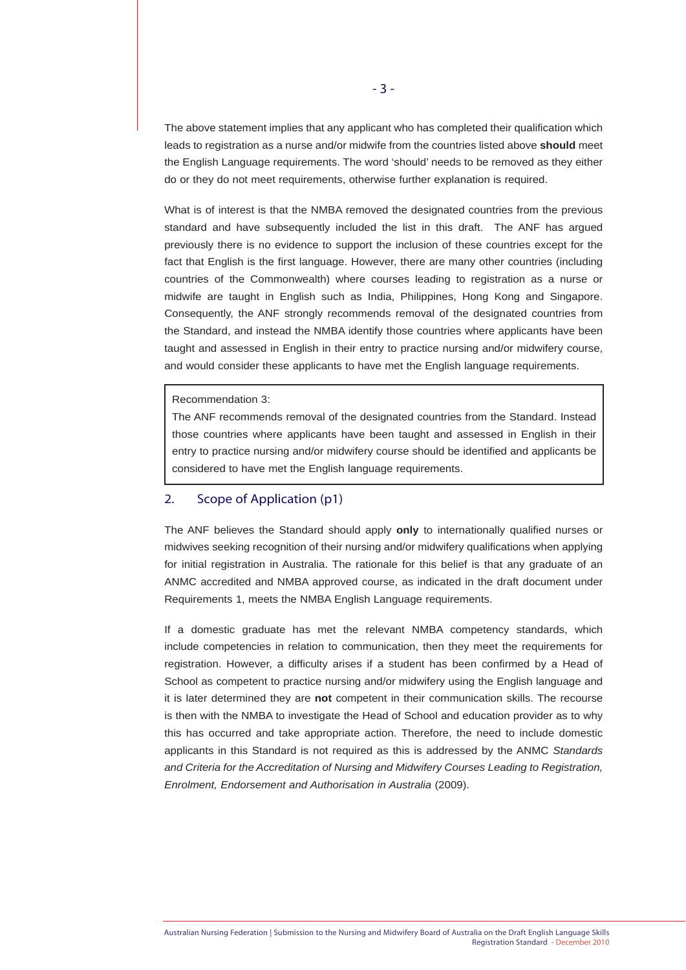The above statement implies that any applicant who has completed their qualification which leads to registration as a nurse and/or midwife from the countries listed above **should** meet the English Language requirements. The word 'should' needs to be removed as they either do or they do not meet requirements, otherwise further explanation is required.

What is of interest is that the NMBA removed the designated countries from the previous standard and have subsequently included the list in this draft. The ANF has argued previously there is no evidence to support the inclusion of these countries except for the fact that English is the first language. However, there are many other countries (including countries of the Commonwealth) where courses leading to registration as a nurse or midwife are taught in English such as India, Philippines, Hong Kong and Singapore. Consequently, the ANF strongly recommends removal of the designated countries from the Standard, and instead the NMBA identify those countries where applicants have been taught and assessed in English in their entry to practice nursing and/or midwifery course, and would consider these applicants to have met the English language requirements.

#### Recommendation 3:

The ANF recommends removal of the designated countries from the Standard. Instead those countries where applicants have been taught and assessed in English in their entry to practice nursing and/or midwifery course should be identified and applicants be considered to have met the English language requirements.

# 2. Scope of Application (p1)

The ANF believes the Standard should apply **only** to internationally qualified nurses or midwives seeking recognition of their nursing and/or midwifery qualifications when applying for initial registration in Australia. The rationale for this belief is that any graduate of an ANMC accredited and NMBA approved course, as indicated in the draft document under Requirements 1, meets the NMBA English Language requirements.

If a domestic graduate has met the relevant NMBA competency standards, which include competencies in relation to communication, then they meet the requirements for registration. However, a difficulty arises if a student has been confirmed by a Head of School as competent to practice nursing and/or midwifery using the English language and it is later determined they are **not** competent in their communication skills. The recourse is then with the NMBA to investigate the Head of School and education provider as to why this has occurred and take appropriate action. Therefore, the need to include domestic applicants in this Standard is not required as this is addressed by the ANMC *Standards and Criteria for the Accreditation of Nursing and Midwifery Courses Leading to Registration, Enrolment, Endorsement and Authorisation in Australia* (2009).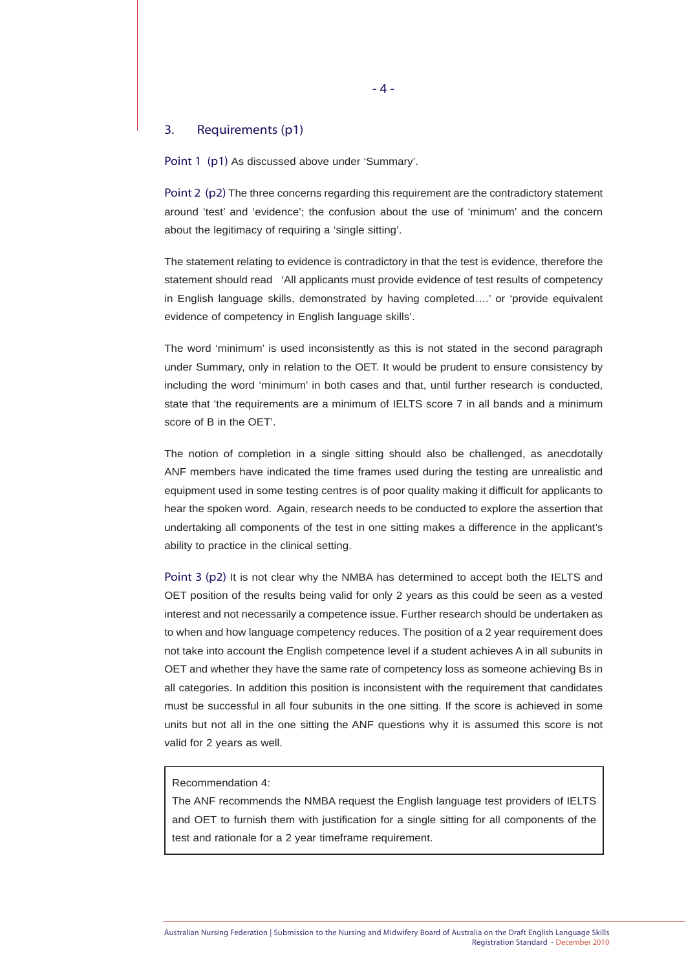### 3. Requirements (p1)

Point 1 (p1) As discussed above under 'Summary'.

Point 2 (p2) The three concerns regarding this requirement are the contradictory statement around 'test' and 'evidence'; the confusion about the use of 'minimum' and the concern about the legitimacy of requiring a 'single sitting'.

The statement relating to evidence is contradictory in that the test is evidence, therefore the statement should read 'All applicants must provide evidence of test results of competency in English language skills, demonstrated by having completed….' or 'provide equivalent evidence of competency in English language skills'.

The word 'minimum' is used inconsistently as this is not stated in the second paragraph under Summary, only in relation to the OET. It would be prudent to ensure consistency by including the word 'minimum' in both cases and that, until further research is conducted, state that 'the requirements are a minimum of IELTS score 7 in all bands and a minimum score of B in the OET'.

The notion of completion in a single sitting should also be challenged, as anecdotally ANF members have indicated the time frames used during the testing are unrealistic and equipment used in some testing centres is of poor quality making it difficult for applicants to hear the spoken word. Again, research needs to be conducted to explore the assertion that undertaking all components of the test in one sitting makes a difference in the applicant's ability to practice in the clinical setting.

Point 3 (p2) It is not clear why the NMBA has determined to accept both the IELTS and OET position of the results being valid for only 2 years as this could be seen as a vested interest and not necessarily a competence issue. Further research should be undertaken as to when and how language competency reduces. The position of a 2 year requirement does not take into account the English competence level if a student achieves A in all subunits in OET and whether they have the same rate of competency loss as someone achieving Bs in all categories. In addition this position is inconsistent with the requirement that candidates must be successful in all four subunits in the one sitting. If the score is achieved in some units but not all in the one sitting the ANF questions why it is assumed this score is not valid for 2 years as well.

#### Recommendation 4:

The ANF recommends the NMBA request the English language test providers of IELTS and OET to furnish them with justification for a single sitting for all components of the test and rationale for a 2 year timeframe requirement.

 $-4-$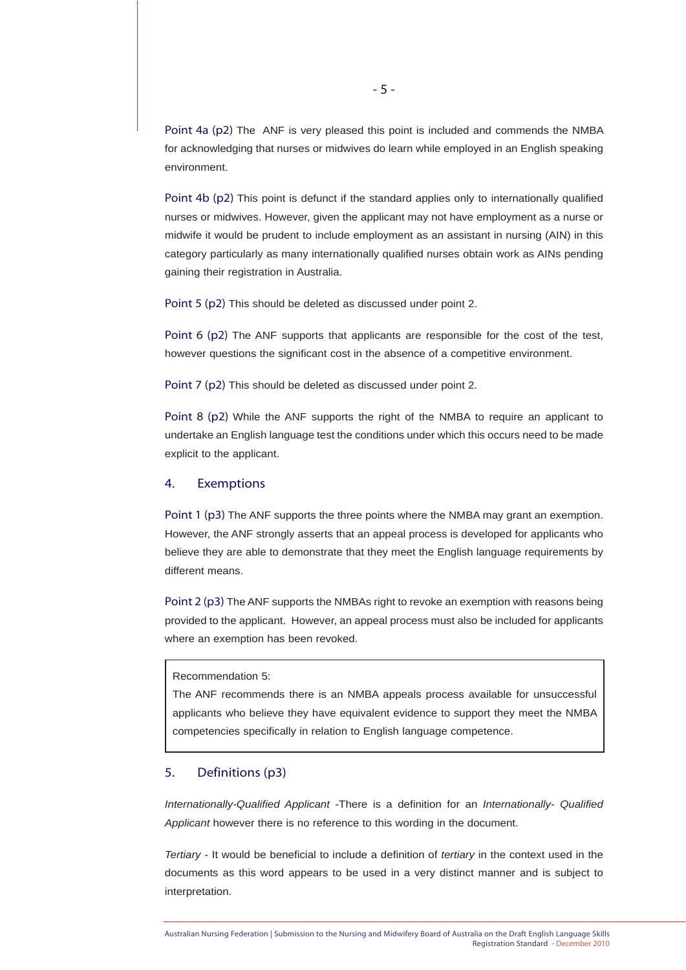Point 4a (p2) The ANF is very pleased this point is included and commends the NMBA for acknowledging that nurses or midwives do learn while employed in an English speaking environment.

Point 4b (p2) This point is defunct if the standard applies only to internationally qualified nurses or midwives. However, given the applicant may not have employment as a nurse or midwife it would be prudent to include employment as an assistant in nursing (AIN) in this category particularly as many internationally qualified nurses obtain work as AINs pending gaining their registration in Australia.

Point 5 (p2) This should be deleted as discussed under point 2.

Point 6 (p2) The ANF supports that applicants are responsible for the cost of the test. however questions the significant cost in the absence of a competitive environment.

Point 7 (p2) This should be deleted as discussed under point 2.

Point 8 (p2) While the ANF supports the right of the NMBA to require an applicant to undertake an English language test the conditions under which this occurs need to be made explicit to the applicant.

#### 4. Exemptions

Point 1 (p3) The ANF supports the three points where the NMBA may grant an exemption. However, the ANF strongly asserts that an appeal process is developed for applicants who believe they are able to demonstrate that they meet the English language requirements by different means.

Point 2 (p3) The ANF supports the NMBAs right to revoke an exemption with reasons being provided to the applicant. However, an appeal process must also be included for applicants where an exemption has been revoked.

#### Recommendation 5:

The ANF recommends there is an NMBA appeals process available for unsuccessful applicants who believe they have equivalent evidence to support they meet the NMBA competencies specifically in relation to English language competence.

#### 5. Definitions (p3)

*Internationally-Qualified Applicant* -There is a definition for an *Internationally- Qualified*  Applicant however there is no reference to this wording in the document.

*Tertiary* - It would be beneficial to include a definition of *tertiary* in the context used in the documents as this word appears to be used in a very distinct manner and is subject to interpretation.

- 5 -